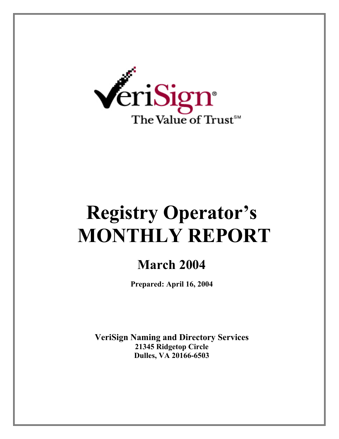

# **Registry Operator's MONTHLY REPORT**

# **March 2004**

**Prepared: April 16, 2004** 

**VeriSign Naming and Directory Services 21345 Ridgetop Circle Dulles, VA 20166-6503**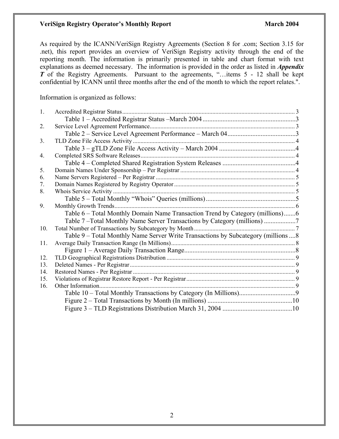#### **VeriSign Registry Operator's Monthly Report March 2004 March 2004**

As required by the ICANN/VeriSign Registry Agreements (Section 8 for .com; Section 3.15 for .net), this report provides an overview of VeriSign Registry activity through the end of the reporting month. The information is primarily presented in table and chart format with text explanations as deemed necessary. The information is provided in the order as listed in *Appendix T* of the Registry Agreements. Pursuant to the agreements, "...items 5 - 12 shall be kept confidential by ICANN until three months after the end of the month to which the report relates.".

Information is organized as follows:

| 1.             |                                                                                     |  |
|----------------|-------------------------------------------------------------------------------------|--|
|                |                                                                                     |  |
| 2.             |                                                                                     |  |
|                |                                                                                     |  |
| 3 <sub>1</sub> |                                                                                     |  |
|                |                                                                                     |  |
| 4.             |                                                                                     |  |
|                |                                                                                     |  |
| 5.             |                                                                                     |  |
| 6.             |                                                                                     |  |
| 7.             |                                                                                     |  |
| 8.             |                                                                                     |  |
|                |                                                                                     |  |
| 9.             |                                                                                     |  |
|                | Table 6 – Total Monthly Domain Name Transaction Trend by Category (millions)6       |  |
|                | Table 7-Total Monthly Name Server Transactions by Category (millions)               |  |
| 10.            |                                                                                     |  |
|                | Table 9 – Total Monthly Name Server Write Transactions by Subcategory (millions  8) |  |
| 11.            |                                                                                     |  |
|                |                                                                                     |  |
| 12.            |                                                                                     |  |
| 13.            |                                                                                     |  |
| 14.            |                                                                                     |  |
| 15.            |                                                                                     |  |
| 16.            |                                                                                     |  |
|                |                                                                                     |  |
|                |                                                                                     |  |
|                |                                                                                     |  |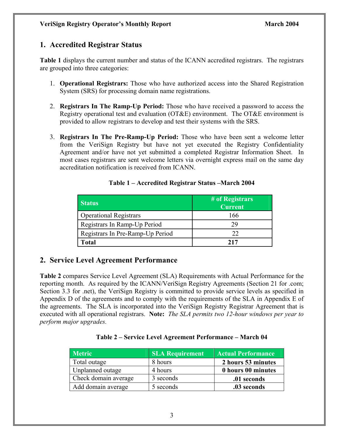# **1. Accredited Registrar Status**

**Table 1** displays the current number and status of the ICANN accredited registrars. The registrars are grouped into three categories:

- 1. **Operational Registrars:** Those who have authorized access into the Shared Registration System (SRS) for processing domain name registrations.
- 2. **Registrars In The Ramp-Up Period:** Those who have received a password to access the Registry operational test and evaluation (OT&E) environment. The OT&E environment is provided to allow registrars to develop and test their systems with the SRS.
- 3. **Registrars In The Pre-Ramp-Up Period:** Those who have been sent a welcome letter from the VeriSign Registry but have not yet executed the Registry Confidentiality Agreement and/or have not yet submitted a completed Registrar Information Sheet. In most cases registrars are sent welcome letters via overnight express mail on the same day accreditation notification is received from ICANN.

| <b>Status</b>                    | # of Registrars<br><b>Current</b> |
|----------------------------------|-----------------------------------|
| <b>Operational Registrars</b>    | 166                               |
| Registrars In Ramp-Up Period     | 29                                |
| Registrars In Pre-Ramp-Up Period | 22                                |
| Total                            | 217                               |

#### **Table 1 – Accredited Registrar Status –March 2004**

# **2. Service Level Agreement Performance**

**Table 2** compares Service Level Agreement (SLA) Requirements with Actual Performance for the reporting month. As required by the ICANN/VeriSign Registry Agreements (Section 21 for .com; Section 3.3 for .net), the VeriSign Registry is committed to provide service levels as specified in Appendix D of the agreements and to comply with the requirements of the SLA in Appendix E of the agreements. The SLA is incorporated into the VeriSign Registry Registrar Agreement that is executed with all operational registrars. **Note:** *The SLA permits two 12-hour windows per year to perform major upgrades.* 

#### **Table 2 – Service Level Agreement Performance – March 04**

| <b>Metric</b>        | <b>SLA Requirement</b> | <b>Actual Performance</b> |
|----------------------|------------------------|---------------------------|
| Total outage         | 8 hours                | 2 hours 53 minutes        |
| Unplanned outage     | 4 hours                | 0 hours 00 minutes        |
| Check domain average | 3 seconds              | .01 seconds               |
| Add domain average   | 5 seconds              | .03 seconds               |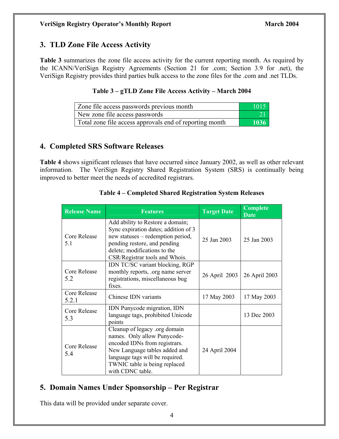# **3. TLD Zone File Access Activity**

**Table 3** summarizes the zone file access activity for the current reporting month. As required by the ICANN/VeriSign Registry Agreements (Section 21 for .com; Section 3.9 for .net), the VeriSign Registry provides third parties bulk access to the zone files for the .com and .net TLDs.

#### **Table 3 – gTLD Zone File Access Activity – March 2004**

| Zone file access passwords previous month               | 1015- |
|---------------------------------------------------------|-------|
| New zone file access passwords                          |       |
| Total zone file access approvals end of reporting month | 1036  |

# **4. Completed SRS Software Releases**

**Table 4** shows significant releases that have occurred since January 2002, as well as other relevant information. The VeriSign Registry Shared Registration System (SRS) is continually being improved to better meet the needs of accredited registrars.

| <b>Release Name</b>   | <b>Features</b>                                                                                                                                                                                                        | <b>Target Date</b> | <b>Complete</b><br><b>Date</b> |
|-----------------------|------------------------------------------------------------------------------------------------------------------------------------------------------------------------------------------------------------------------|--------------------|--------------------------------|
| Core Release<br>5.1   | Add ability to Restore a domain;<br>Sync expiration dates; addition of 3<br>new statuses – redemption period,<br>pending restore, and pending<br>delete; modifications to the<br>CSR/Registrar tools and Whois.        | 25 Jan 2003        | 25 Jan 2003                    |
| Core Release<br>5.2   | IDN TC/SC variant blocking, RGP<br>monthly reports, org name server<br>registrations, miscellaneous bug<br>fixes.                                                                                                      | 26 April 2003      | 26 April 2003                  |
| Core Release<br>5.2.1 | Chinese IDN variants                                                                                                                                                                                                   | 17 May 2003        | 17 May 2003                    |
| Core Release<br>5.3   | IDN Punycode migration, IDN<br>language tags, prohibited Unicode<br>points                                                                                                                                             |                    | 13 Dec 2003                    |
| Core Release<br>5.4   | Cleanup of legacy .org domain<br>names. Only allow Punycode-<br>encoded IDNs from registrars.<br>New Language tables added and<br>language tags will be required.<br>TWNIC table is being replaced<br>with CDNC table. | 24 April 2004      |                                |

#### **Table 4 – Completed Shared Registration System Releases**

# **5. Domain Names Under Sponsorship – Per Registrar**

This data will be provided under separate cover.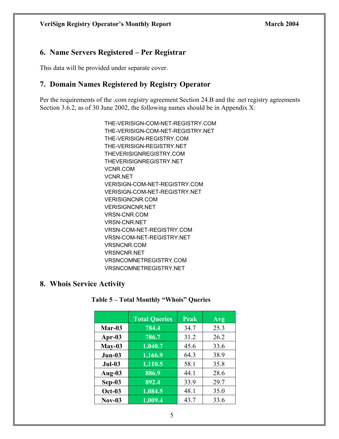# **6. Name Servers Registered – Per Registrar**

This data will be provided under separate cover.

# **7. Domain Names Registered by Registry Operator**

Per the requirements of the .com registry agreement Section 24.B and the .net registry agreements Section 3.6.2, as of 30 June 2002, the following names should be in Appendix X:

> THE-VERISIGN-COM-NET-REGISTRY.COM THE-VERISIGN-COM-NET-REGISTRY.NET THE-VERISIGN-REGISTRY.COM THE-VERISIGN-REGISTRY.NET THEVERISIGNREGISTRY.COM THEVERISIGNREGISTRY.NET VCNR.COM VCNR.NET VERISIGN-COM-NET-REGISTRY.COM VERISIGN-COM-NET-REGISTRY.NET VERISIGNCNR.COM VERISIGNCNR.NET VRSN-CNR.COM VRSN-CNR.NET VRSN-COM-NET-REGISTRY.COM VRSN-COM-NET-REGISTRY.NET VRSNCNR.COM VRSNCNR.NET VRSNCOMNETREGISTRY.COM VRSNCOMNETREGISTRY.NET

#### **8. Whois Service Activity**

|               | <b>Total Queries</b> | Peak | Avg  |
|---------------|----------------------|------|------|
| Mar-03        | 784.4                | 34.7 | 25.3 |
| Apr-03        | 786.7                | 31.2 | 26.2 |
| $May-03$      | 1,040.7              | 45.6 | 33.6 |
| $Jun-03$      | 1,166.9              | 64.3 | 38.9 |
| $Jul-03$      | 1,110.5              | 58.1 | 35.8 |
| Aug-03        | 886.9                | 44.1 | 28.6 |
| $Sep-03$      | 892.4                | 33.9 | 29.7 |
| <b>Oct-03</b> | $1,\overline{084.5}$ | 48.1 | 35.0 |
| $Nov-03$      | 1,009.4              | 43.7 | 33.6 |

#### **Table 5 – Total Monthly "Whois" Queries**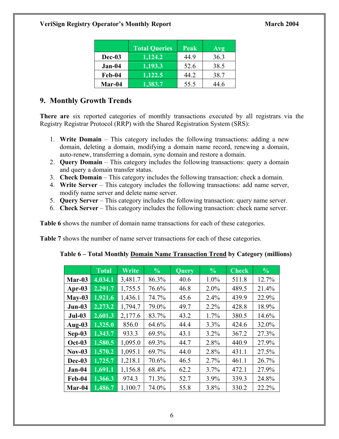|          | <b>Total Queries</b> | Peak | Avg  |
|----------|----------------------|------|------|
| Dec-03   | 1,124.2              | 44.9 | 36.3 |
| $Jan-04$ | 1,193.3              | 52.6 | 38.5 |
| Feb-04   | 1,122.5              | 44.2 | 38.7 |
| Mar-04   | 1,383.7              | 55.5 | -46  |

# **9. Monthly Growth Trends**

**There are** six reported categories of monthly transactions executed by all registrars via the Registry Registrar Protocol (RRP) with the Shared Registration System (SRS):

- 1. **Write Domain**  This category includes the following transactions: adding a new domain, deleting a domain, modifying a domain name record, renewing a domain, auto-renew, transferring a domain, sync domain and restore a domain.
- 2. **Query Domain** This category includes the following transactions: query a domain and query a domain transfer status.
- 3. **Check Domain** This category includes the following transaction: check a domain.
- 4. **Write Server** This category includes the following transactions: add name server, modify name server and delete name server.
- 5. **Query Server** This category includes the following transaction: query name server.
- 6. **Check Server**  This category includes the following transaction: check name server.

**Table 6** shows the number of domain name transactions for each of these categories.

**Table 7** shows the number of name server transactions for each of these categories.

| Table 6 – Total Monthly Domain Name Transaction Trend by Category (millions) |  |  |
|------------------------------------------------------------------------------|--|--|
|                                                                              |  |  |
|                                                                              |  |  |
|                                                                              |  |  |

|               | <b>Total</b> | Write   | $\frac{0}{0}$ | <b>Query</b> | $\frac{0}{0}$ | <b>Check</b> | $\frac{0}{0}$ |
|---------------|--------------|---------|---------------|--------------|---------------|--------------|---------------|
| Mar-03        | 4,034.1      | 3,481.7 | 86.3%         | 40.6         | 1.0%          | 511.8        | 12.7%         |
| Apr- $03$     | 2,291.7      | 1,755.5 | 76.6%         | 46.8         | $2.0\%$       | 489.5        | 21.4%         |
| $May-03$      | 1,921.6      | 1,436.1 | 74.7%         | 45.6         | 2.4%          | 439.9        | 22.9%         |
| $Jun-03$      | 2,273.2      | 1,794.7 | 79.0%         | 49.7         | 2.2%          | 428.8        | 18.9%         |
| $Jul-03$      | 2,601.3      | 2,177.6 | 83.7%         | 43.2         | 1.7%          | 380.5        | 14.6%         |
| Aug-03        | 1,325.0      | 856.0   | 64.6%         | 44.4         | 3.3%          | 424.6        | 32.0%         |
| $Sep-03$      | 1,343.7      | 933.3   | 69.5%         | 43.1         | $3.2\%$       | 367.2        | 27.3%         |
| <b>Oct-03</b> | 1,580.5      | 1,095.0 | 69.3%         | 44.7         | 2.8%          | 440.9        | 27.9%         |
| $Nov-03$      | 1,570.2      | 1,095.1 | 69.7%         | 44.0         | 2.8%          | 431.1        | 27.5%         |
| Dec-03        | 1,725.7      | 1,218.1 | 70.6%         | 46.5         | 2.7%          | 461.1        | 26.7%         |
| $Jan-04$      | 1,691.1      | 1,156.8 | 68.4%         | 62.2         | 3.7%          | 472.1        | 27.9%         |
| Feb-04        | 1,366.3      | 974.3   | 71.3%         | 52.7         | 3.9%          | 339.3        | 24.8%         |
| Mar-04        | 1,486.7      | 1,100.7 | 74.0%         | 55.8         | 3.8%          | 330.2        | 22.2%         |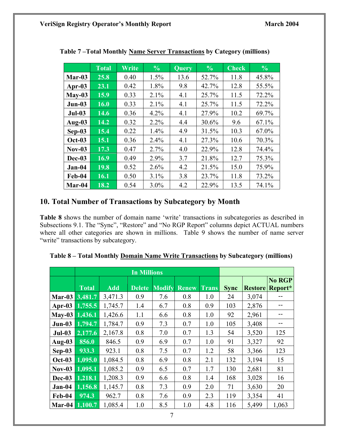|               | <b>Total</b> | Write | $\frac{6}{6}$ | <b>Query</b> | $\frac{6}{6}$ | Check | $\frac{6}{6}$ |
|---------------|--------------|-------|---------------|--------------|---------------|-------|---------------|
| Mar-03        | 25.8         | 0.40  | 1.5%          | 13.6         | 52.7%         | 11.8  | 45.8%         |
| Apr-03        | 23.1         | 0.42  | 1.8%          | 9.8          | 42.7%         | 12.8  | 55.5%         |
| $May-03$      | 15.9         | 0.33  | 2.1%          | 4.1          | 25.7%         | 11.5  | 72.2%         |
| $Jun-03$      | 16.0         | 0.33  | 2.1%          | 4.1          | 25.7%         | 11.5  | 72.2%         |
| $Jul-03$      | 14.6         | 0.36  | 4.2%          | 4.1          | 27.9%         | 10.2  | 69.7%         |
| Aug-03        | 14.2         | 0.32  | 2.2%          | 4.4          | 30.6%         | 9.6   | 67.1%         |
| Sep-03        | 15.4         | 0.22  | 1.4%          | 4.9          | 31.5%         | 10.3  | 67.0%         |
| <b>Oct-03</b> | 15.1         | 0.36  | 2.4%          | 4.1          | 27.3%         | 10.6  | 70.3%         |
| $Nov-03$      | 17.3         | 0.47  | 2.7%          | 4.0          | 22.9%         | 12.8  | 74.4%         |
| Dec-03        | 16.9         | 0.49  | 2.9%          | 3.7          | 21.8%         | 12.7  | 75.3%         |
| $Jan-04$      | 19.8         | 0.52  | 2.6%          | 4.2          | 21.5%         | 15.0  | 75.9%         |
| Feb-04        | 16.1         | 0.50  | 3.1%          | 3.8          | 23.7%         | 11.8  | 73.2%         |
| Mar-04        | 18.2         | 0.54  | $3.0\%$       | 4.2          | 22.9%         | 13.5  | 74.1%         |

**Table 7 –Total Monthly Name Server Transactions by Category (millions)** 

### **10. Total Number of Transactions by Subcategory by Month**

**Table 8** shows the number of domain name 'write' transactions in subcategories as described in Subsections 9.1. The "Sync", "Restore" and "No RGP Report" columns depict ACTUAL numbers where all other categories are shown in millions. Table 9 shows the number of name server "write" transactions by subcategory.

|                 |              |            |               |               |              |              |             |                | No RGP  |
|-----------------|--------------|------------|---------------|---------------|--------------|--------------|-------------|----------------|---------|
|                 | <b>Total</b> | <b>Add</b> | <b>Delete</b> | <b>Modify</b> | <b>Renew</b> | <b>Trans</b> | <b>Sync</b> | <b>Restore</b> | Report* |
| $Mar-03$        | 3,481.7      | 3,471.3    | 0.9           | 7.6           | 0.8          | 1.0          | 24          | 3,074          |         |
| Apr- $03$       | 1,755.5      | 1,745.7    | 1.4           | 6.7           | 0.8          | 0.9          | 103         | 2,876          |         |
| May-03 1,436.1  |              | 1,426.6    | 1.1           | 6.6           | 0.8          | 1.0          | 92          | 2,961          |         |
| $Jun-03$        | 1,794.7      | 1,784.7    | 0.9           | 7.3           | 0.7          | 1.0          | 105         | 3,408          |         |
| $Jul-03$        | 2,177.6      | 2,167.8    | 0.8           | 7.0           | 0.7          | 1.3          | 54          | 3,520          | 125     |
| Aug- $03$       | 856.0        | 846.5      | 0.9           | 6.9           | 0.7          | 1.0          | 91          | 3,327          | 92      |
| $Sep-03$        | 933.3        | 923.1      | 0.8           | 7.5           | 0.7          | 1.2          | 58          | 3,366          | 123     |
| <b>Oct-03</b>   | 1,095.0      | 1,084.5    | 0.8           | 6.9           | 0.8          | 2.1          | 132         | 3,194          | 15      |
| $\text{Nov-03}$ | 1,095.1      | 1,085.2    | 0.9           | 6.5           | 0.7          | 1.7          | 130         | 2,681          | 81      |
| Dec-03          | 1,218.1      | 1,208.3    | 0.9           | 6.6           | 0.8          | 1.4          | 168         | 3,028          | 16      |
| $Jan-04$        | 1,156.8      | 1,145.7    | 0.8           | 7.3           | 0.9          | 2.0          | 71          | 3,630          | 20      |
| Feb-04          | 974.3        | 962.7      | 0.8           | 7.6           | 0.9          | 2.3          | 119         | 3,354          | 41      |
| Mar-04          | 1,100.7      | 1,085.4    | 1.0           | 8.5           | 1.0          | 4.8          | 116         | 5,499          | 1,063   |

**Table 8 – Total Monthly Domain Name Write Transactions by Subcategory (millions)**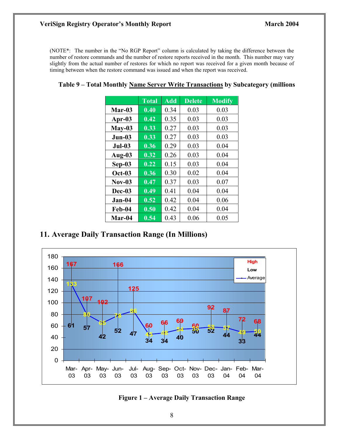#### **VeriSign Registry Operator's Monthly Report March 2004 March 2004**

(NOTE\*: The number in the "No RGP Report" column is calculated by taking the difference between the number of restore commands and the number of restore reports received in the month. This number may vary slightly from the actual number of restores for which no report was received for a given month because of timing between when the restore command was issued and when the report was received.

|           | <b>Total</b> | <b>Add</b> | <b>Delete</b> | <b>Modify</b> |
|-----------|--------------|------------|---------------|---------------|
| Mar-03    | 0.40         | 0.34       | 0.03          | 0.03          |
| Apr- $03$ | 0.42         | 0.35       | 0.03          | 0.03          |
| $May-03$  | 0.33         | 0.27       | 0.03          | 0.03          |
| $Jun-03$  | 0.33         | 0.27       | 0.03          | 0.03          |
| $Jul-03$  | 0.36         | 0.29       | 0.03          | 0.04          |
| Aug-03    | 0.32         | 0.26       | 0.03          | 0.04          |
| $Sep-03$  | 0.22         | 0.15       | 0.03          | 0.04          |
| $Oct-03$  | 0.36         | 0.30       | 0.02          | 0.04          |
| $Nov-03$  | 0.47         | 0.37       | 0.03          | 0.07          |
| Dec-03    | 0.49         | 0.41       | 0.04          | 0.04          |
| $Jan-04$  | 0.52         | 0.42       | 0.04          | 0.06          |
| Feb-04    | 0.50         | 0.42       | 0.04          | 0.04          |
| Mar-04    | 0.54         | 0.43       | 0.06          | 0.05          |

### **11. Average Daily Transaction Range (In Millions)**



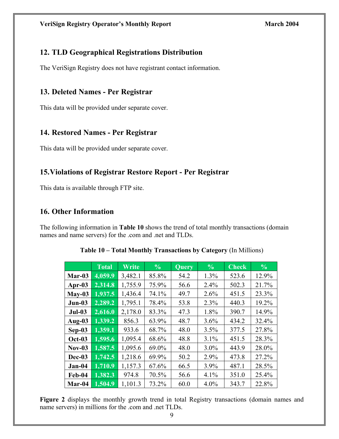# **12. TLD Geographical Registrations Distribution**

The VeriSign Registry does not have registrant contact information.

# **13. Deleted Names - Per Registrar**

This data will be provided under separate cover.

# **14. Restored Names - Per Registrar**

This data will be provided under separate cover.

# **15.Violations of Registrar Restore Report - Per Registrar**

This data is available through FTP site.

# **16. Other Information**

The following information in **Table 10** shows the trend of total monthly transactions (domain names and name servers) for the .com and .net and TLDs.

|               | <b>Total</b> | Write   | $\frac{0}{0}$ | <b>Query</b> | $\frac{0}{0}$ | <b>Check</b> | $\frac{6}{6}$ |
|---------------|--------------|---------|---------------|--------------|---------------|--------------|---------------|
| Mar-03        | 4,059.9      | 3,482.1 | 85.8%         | 54.2         | 1.3%          | 523.6        | 12.9%         |
| Apr- $03$     | 2,314.8      | 1,755.9 | 75.9%         | 56.6         | 2.4%          | 502.3        | 21.7%         |
| $May-03$      | 1,937.5      | 1,436.4 | 74.1%         | 49.7         | 2.6%          | 451.5        | 23.3%         |
| $Jun-03$      | 2,289.2      | 1,795.1 | 78.4%         | 53.8         | 2.3%          | 440.3        | 19.2%         |
| $Jul-03$      | 2,616.0      | 2,178.0 | 83.3%         | 47.3         | 1.8%          | 390.7        | 14.9%         |
| Aug- $03$     | 1,339.2      | 856.3   | 63.9%         | 48.7         | 3.6%          | 434.2        | 32.4%         |
| $Sep-03$      | 1,359.1      | 933.6   | 68.7%         | 48.0         | 3.5%          | 377.5        | 27.8%         |
| <b>Oct-03</b> | 1,595.6      | 1,095.4 | 68.6%         | 48.8         | 3.1%          | 451.5        | 28.3%         |
| $Nov-03$      | 1,587.5      | 1,095.6 | 69.0%         | 48.0         | $3.0\%$       | 443.9        | 28.0%         |
| Dec-03        | 1,742.5      | 1,218.6 | 69.9%         | 50.2         | 2.9%          | 473.8        | 27.2%         |
| $Jan-04$      | 1,710.9      | 1,157.3 | 67.6%         | 66.5         | 3.9%          | 487.1        | 28.5%         |
| Feb-04        | 1,382.3      | 974.8   | 70.5%         | 56.6         | 4.1%          | 351.0        | 25.4%         |
| Mar-04        | 1,504.9      | 1,101.3 | 73.2%         | 60.0         | $4.0\%$       | 343.7        | 22.8%         |

**Table 10 – Total Monthly Transactions by Category** (In Millions)

Figure 2 displays the monthly growth trend in total Registry transactions (domain names and name servers) in millions for the .com and .net TLDs.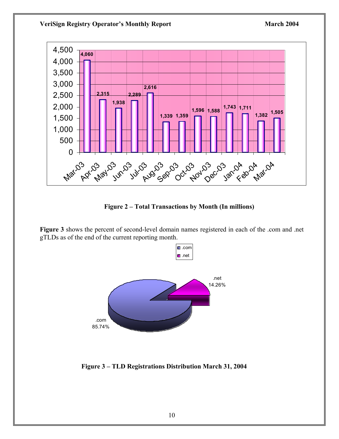#### **VeriSign Registry Operator's Monthly Report March 2004 March 2004**



**Figure 2 – Total Transactions by Month (In millions)** 

**Figure 3** shows the percent of second-level domain names registered in each of the .com and .net gTLDs as of the end of the current reporting month.



 **Figure 3 – TLD Registrations Distribution March 31, 2004**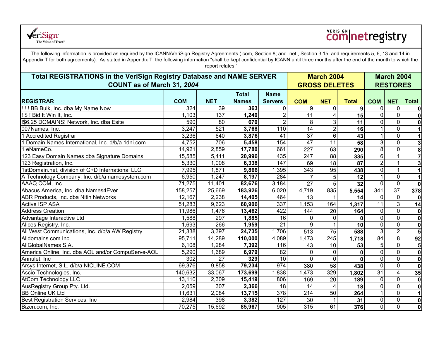

# **COM**netregistry

The following information is provided as required by the ICANN/VeriSign Registry Agreements (.com, Section 8; and .net , Section 3.15; and requirements 5, 6, 13 and 14 in Appendix T for both agreements). As stated in Appendix T, the following information "shall be kept confidential by ICANN until three months after the end of the month to which the report relates."

| <b>Total REGISTRATIONS in the VeriSign Registry Database and NAME SERVER</b><br>COUNT as of March 31, 2004 |            |                             |              |                  | <b>March 2004</b><br><b>GROSS DELETES</b> |                         |                  | <b>March 2004</b><br><b>RESTORES</b> |                         |                         |
|------------------------------------------------------------------------------------------------------------|------------|-----------------------------|--------------|------------------|-------------------------------------------|-------------------------|------------------|--------------------------------------|-------------------------|-------------------------|
|                                                                                                            |            | <b>Total</b><br><b>Name</b> |              |                  |                                           |                         |                  |                                      |                         |                         |
| <b>REGISTRAR</b>                                                                                           | <b>COM</b> | <b>NET</b>                  | <b>Names</b> | <b>Servers</b>   | <b>COM</b>                                | <b>NET</b>              | <b>Total</b>     | <b>COM</b>                           | <b>NET</b>              | <b>Total</b>            |
| !!! BB Bulk, Inc. dba My Name Now                                                                          | 324        | 39                          | 363          | $\Omega$         | 9                                         | $\mathbf{0}$            | 9                | $\mathbf{0}$                         | $\Omega$                | 0                       |
| ! \$ ! Bid It Win It, Inc.                                                                                 | 1,103      | 137                         | 1,240        | $\overline{c}$   | $\overline{11}$                           | $\overline{4}$          | 15               | $\Omega$                             | $\overline{0}$          | $\mathbf{0}$            |
| !\$6.25 DOMAINS! Network, Inc. dba Esite                                                                   | 590        | $\overline{80}$             | 670          | $\overline{2}$   | 8 <sup>1</sup>                            | $\mathbf{3}$            | 11               | $\Omega$                             | $\Omega$                | $\mathbf 0$             |
| 007Names, Inc.                                                                                             | 3,247      | 521                         | 3,768        | 110              | 14                                        | $\boldsymbol{2}$        | 16               |                                      | $\overline{0}$          | $\mathbf 1$             |
| 1 Accredited Registrar                                                                                     | 3,236      | 640                         | 3,876        | 41               | $\overline{37}$                           | $\overline{6}$          | 43               |                                      | $\overline{0}$          | $\overline{1}$          |
| 1 Domain Names International, Inc. d/b/a 1dni.com                                                          | 4,752      | 706                         | 5,458        | 154              | $\overline{47}$                           | $\overline{11}$         | $\overline{58}$  |                                      | $\overline{0}$          | دى                      |
| 1 eNameCo.                                                                                                 | 14,921     | 2,859                       | 17,780       | 661              | $\overline{227}$                          | 63                      | 290              | 8                                    | $\Omega$                | $\bf{0}$                |
| 123 Easy Domain Names dba Signature Domains                                                                | 15,585     | 5,411                       | 20,996       | 435              | 247                                       | 88                      | 335              | 6                                    |                         | $\overline{7}$          |
| 123 Registration, Inc.                                                                                     | 5,330      | 1,008                       | 6,338        | $\overline{147}$ | 69                                        | 18                      | 87               | $\overline{2}$                       |                         | 3 <sup>l</sup>          |
| 1stDomain.net, division of G+D International LLC                                                           | 7,995      | 1,871                       | 9,866        | 1,395            | 343                                       | 95                      | 438              | $\mathbf 0$                          |                         | $\mathbf{1}$            |
| A Technology Company, Inc. d/b/a namesystem.com                                                            | 6,950      | 1,247                       | 8,197        | 284              |                                           | 5                       | 12               |                                      | $\Omega$                | $\mathbf{1}$            |
| AAAQ.COM, Inc.                                                                                             | 71,275     | 11,401                      | 82,676       | 3,184            | 27                                        | 5                       | 32               | $\Omega$                             | $\overline{0}$          | $\mathbf{0}$            |
| Abacus America, Inc. dba Names4Ever                                                                        | 158,257    | 25,669                      | 183,926      | 6,020            | 4,719                                     | 835                     | 5,554            | 341                                  | $\overline{37}$         | 378                     |
| ABR Products, Inc. dba Nitin Networks                                                                      | 12,167     | 2,238                       | 14,405       | 464              | 13                                        |                         | 14               | $\Omega$                             | $\overline{0}$          | $\mathbf{0}$            |
| <b>Active ISP ASA</b>                                                                                      | 51,283     | 9,623                       | 60,906       | 337              | 1,153                                     | 164                     | 1,317            | $\overline{11}$                      | دی                      | 14                      |
| <b>Address Creation</b>                                                                                    | 11,986     | 1,476                       | 13,462       | 422              | 144                                       | 20                      | 164              | $\mathbf{0}$                         | $\Omega$                | 0                       |
| Advantage Interactive Ltd                                                                                  | ,588       | 297                         | 1,885        | 16               | $\Omega$                                  | $\mathbf 0$             | $\Omega$         | $\Omega$                             | $\Omega$                | $\mathbf 0$             |
| Alices Registry, Inc.                                                                                      | 1,693      | 266                         | 1,959        | $\overline{21}$  | $\mathbf{Q}$                              |                         | 10               | $\Omega$                             | $\Omega$                | 0                       |
| All West Communications, Inc. d/b/a AW Registry                                                            | 21,338     | 3,397                       | 24,735       | 1,706            | $\overline{513}$                          | $\overline{75}$         | 588              | 3                                    | $\overline{2}$          | $5\phantom{1}$          |
| Alldomains.com Inc.                                                                                        | 95,711     | 14,289                      | 110,000      | 4,089            | 1,473                                     | 245                     | 1,718            | 84                                   | $\infty$                | 92                      |
| AllGlobalNames S.A.                                                                                        | 6,108      | 1,284                       | 7,392        | 116              | 43                                        | 10                      | 53               | 5                                    | $\Omega$                | 5                       |
| America Online, Inc. dba AOL and/or CompuServe-AOL                                                         | 5,290      | 1,689                       | 6,979        | 82               | $\mathbf 0$                               | $\mathbf 0$             | $\boldsymbol{0}$ | $\mathbf 0$                          | $\Omega$                | $\overline{\mathbf{0}}$ |
| Annulet, Inc.                                                                                              | 302        | $\overline{27}$             | 329          | $\overline{10}$  | $\Omega$                                  | $\overline{0}$          | $\Omega$         | $\Omega$                             | $\Omega$                | 0                       |
| Arsys Internet, S.L. d/b/a NICLINE.COM                                                                     | 69,376     | 9,858                       | 79,234       | 974              | 380                                       | $\overline{58}$         | 438              | $\Omega$                             | $\overline{0}$          | $\mathbf 0$             |
| Ascio Technologies, Inc.                                                                                   | 140,632    | 33,067                      | 173,699      | 1,838            | 1,473                                     | 329                     | 1,802            | $\overline{31}$                      | $\vert$                 | 35                      |
| <b>AtCom Technology LLC</b>                                                                                | 13,110     | 2,309                       | 15,419       | 806              | 169                                       | $\overline{20}$         | 189              | $\mathbf 0$                          | $\overline{0}$          | $\mathbf 0$             |
| AusRegistry Group Pty. Ltd.                                                                                | 2,059      | 307                         | 2,366        | $\frac{1}{8}$    | 14                                        | $\overline{\mathbf{4}}$ | 18               | $\Omega$                             | $\overline{0}$          | $\mathbf 0$             |
| <b>BB Online UK Ltd</b>                                                                                    | 11,631     | 2,084                       | 13,715       | $\overline{378}$ | $\overline{214}$                          | 50                      | 264              |                                      | $\overline{\mathsf{o}}$ | $\overline{1}$          |
| Best Registration Services, Inc                                                                            | 2,984      | 398                         | 3,382        | 127              | 30                                        | $\mathbf{1}$            | 31               | $\mathbf{0}$                         | $\overline{0}$          | $\overline{\mathbf{0}}$ |
| Bizcn.com, Inc.                                                                                            | 70,275     | 15,692                      | 85,967       | 905              | 315                                       | 61                      | 376              | $\overline{0}$                       | $\overline{\mathsf{o}}$ | $\mathbf{0}$            |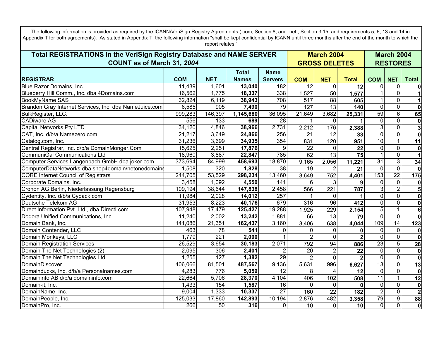| The following information is provided as required by the ICANN/VeriSign Registry Agreements (.com, Section 8; and .net, Section 3.15; and requirements 5, 6, 13 and 14 in<br>Appendix T for both agreements). As stated in Appendix T, the following information "shall be kept confidential by ICANN until three months after the end of the month to which the<br>report relates." |            |                  |              |                 |                 |                      |                 |                         |                         |                         |  |
|--------------------------------------------------------------------------------------------------------------------------------------------------------------------------------------------------------------------------------------------------------------------------------------------------------------------------------------------------------------------------------------|------------|------------------|--------------|-----------------|-----------------|----------------------|-----------------|-------------------------|-------------------------|-------------------------|--|
| Total REGISTRATIONS in the VeriSign Registry Database and NAME SERVER                                                                                                                                                                                                                                                                                                                |            |                  |              |                 |                 | <b>March 2004</b>    |                 |                         |                         | <b>March 2004</b>       |  |
| COUNT as of March 31, 2004                                                                                                                                                                                                                                                                                                                                                           |            |                  |              |                 |                 | <b>GROSS DELETES</b> |                 |                         | <b>RESTORES</b>         |                         |  |
|                                                                                                                                                                                                                                                                                                                                                                                      |            |                  | Total        | <b>Name</b>     |                 |                      |                 |                         |                         |                         |  |
| <b>REGISTRAR</b>                                                                                                                                                                                                                                                                                                                                                                     | <b>COM</b> | <b>NET</b>       | <b>Names</b> | <b>Servers</b>  | <b>COM</b>      | <b>NET</b>           | <b>Total</b>    | <b>COM</b>              | <b>NET</b>              | <b>Total</b>            |  |
| <b>Blue Razor Domains, Inc.</b>                                                                                                                                                                                                                                                                                                                                                      | 11,439     | 1,601            | 13,040       | 182             | 12              | $\Omega$             | 12              | $\Omega$                | $\mathbf 0$             | 0                       |  |
| Blueberry Hill Comm., Inc. dba 4Domains.com                                                                                                                                                                                                                                                                                                                                          | 16,562     | 1,775            | 18,337       | 338             | 1,527           | 50                   | 1,577           |                         | $\mathbf 0$             |                         |  |
| <b>BookMyName SAS</b>                                                                                                                                                                                                                                                                                                                                                                | 32,824     | 6,119            | 38,943       | 708             | 517             | 88                   | 605             | 1                       | $\overline{0}$          | 1                       |  |
| Brandon Gray Internet Services, Inc. dba NameJuice.com                                                                                                                                                                                                                                                                                                                               | 6,585      | 905              | 7,490        | 79              | 127             | $\overline{13}$      | 140             | 0                       | $\overline{\bullet}$    | $\boldsymbol{0}$        |  |
| BulkRegister, LLC.                                                                                                                                                                                                                                                                                                                                                                   | 999,283    | 146,397          | 1,145,680    | 36,095          | 21,649          | 3,682                | 25,331          | 59                      | $\overline{6}$          | 65                      |  |
| <b>CADiware AG</b>                                                                                                                                                                                                                                                                                                                                                                   | 556        | 133              | 689          | 28              | 1               | $\Omega$             |                 | 0                       | $\mathbf 0$             | $\mathbf 0$             |  |
| <b>Capital Networks Pty LTD</b>                                                                                                                                                                                                                                                                                                                                                      | 34,120     | 4,846            | 38,966       | 2,731           | 2,212           | 176                  | 2,388           | $\overline{3}$          | $\mathbf 0$             | 3                       |  |
| CAT, Inc. d/b/a Namezero.com                                                                                                                                                                                                                                                                                                                                                         | 21,217     | 3,649            | 24,866       | 256             | 21              | 12                   | 33              | 0                       | $\overline{0}$          | $\mathbf 0$             |  |
| Catalog.com, Inc.                                                                                                                                                                                                                                                                                                                                                                    | 31,236     | 3,699            | 34,935       | 354             | 831             | 120                  | 951             | 10                      | $\mathbf{1}$            | $\overline{11}$         |  |
|                                                                                                                                                                                                                                                                                                                                                                                      | 15,625     | 2,251            | 17,876       | 9               | $\overline{22}$ | $\mathbf 0$          | $\overline{22}$ | $\overline{0}$          | $\mathbf 0$             | $\mathbf 0$             |  |
| Central Registrar, Inc. d/b/a DomainMonger.Com<br>CommuniGal Communications Ltd                                                                                                                                                                                                                                                                                                      | 18,960     | 3,887            | 22,847       | 785             | 62              | 13                   | 75              | 1                       | $\overline{0}$          | $\mathbf{1}$            |  |
| Computer Services Langenbach GmbH dba joker.com                                                                                                                                                                                                                                                                                                                                      | 373,694    | 84,999           | 458,693      | 18,870          | 9,165           | 2,056                | 11,221          | 31                      | $\overline{3}$          | 34                      |  |
| ComputerDataNetworks dba shop4domain/netonedomains                                                                                                                                                                                                                                                                                                                                   | 1,508      | 320              | 1,828        | $\overline{38}$ | 19              |                      | 21              | 0                       | ō                       | $\mathbf 0$             |  |
| <b>CORE Internet Council of Registrars</b>                                                                                                                                                                                                                                                                                                                                           | 244,705    | 53,529           | 298,234      | 13,460          | 3,649           | 752                  | 4,401           | 153                     | $\overline{22}$         | $\overline{175}$        |  |
| Corporate Domains, Inc.                                                                                                                                                                                                                                                                                                                                                              | 3,458      | 1,092            | 4,550        | 141             | 6               | 3                    |                 | 0                       | $\overline{0}$          | $\bf{0}$                |  |
| Cronon AG Berlin, Niederlassung Regensburg                                                                                                                                                                                                                                                                                                                                           | 109,194    | 38,644           | 147,838      | 2,458           | 566             | 221                  | 787             | 3                       | $\overline{2}$          | $\overline{5}$          |  |
| Cydentity, Inc. d/b/a Cypack.com                                                                                                                                                                                                                                                                                                                                                     | 11,984     | 2,028            | 14,012       | 257             |                 | $\mathbf 0$          |                 | $\overline{0}$          | $\overline{0}$          | $\mathbf 0$             |  |
| Deutsche Telekom AG                                                                                                                                                                                                                                                                                                                                                                  | 31,953     | 8,223            | 40,176       | 679             | 316             | 96                   | 412             | 0                       | $\mathbf 0$             | $\bf{0}$                |  |
| Direct Information Pvt. Ltd., dba Directl.com                                                                                                                                                                                                                                                                                                                                        | 107,948    | 17,479           | 125,427      | 19,288          | 1,925           | 229                  | 2,154           | 5                       | $\mathbf{1}$            | 6                       |  |
| Dodora Unified Communications, Inc.                                                                                                                                                                                                                                                                                                                                                  | 11,240     | 2,002            | 13,242       | 1,881           | 66              | 13                   | 79              | 0                       | $\overline{\bullet}$    | $\mathbf 0$             |  |
| Domain Bank, Inc.                                                                                                                                                                                                                                                                                                                                                                    | 141,086    | 21,351           | 162,437      | 3,160           | 3,406           | 638                  | 4,044           | 109                     | 14                      | 123                     |  |
| Domain Contender, LLC                                                                                                                                                                                                                                                                                                                                                                | 463        | 78               | 541          | 0               | 0               | $\mathbf 0$          | 0               | 0                       | $\mathbf 0$             | $\boldsymbol{0}$        |  |
| Domain Monkeys, LLC                                                                                                                                                                                                                                                                                                                                                                  | 1,779      | $\overline{221}$ | 2,000        |                 | $\overline{2}$  | $\mathbf 0$          | $\mathbf{2}$    | $\overline{0}$          | $\overline{0}$          | $\mathbf 0$             |  |
| <b>Domain Registration Services</b>                                                                                                                                                                                                                                                                                                                                                  | 26,529     | 3,654            | 30,183       | 2,071           | 792             | 94                   | 886             | 23                      | $\overline{5}$          | 28                      |  |
| Domain The Net Technologies (2)                                                                                                                                                                                                                                                                                                                                                      | 2,095      | 306              | 2,401        | 2               | 20              | $\overline{2}$       | 22              | 0                       | $\overline{\mathsf{o}}$ | $\bf{0}$                |  |
| Domain The Net Technologies Ltd.                                                                                                                                                                                                                                                                                                                                                     | 1,255      | 127              | 1,382        | 29              |                 | $\mathbf 0$          | $\mathbf{2}$    | 0                       | $\overline{0}$          | $\overline{\mathbf{0}}$ |  |
| DomainDiscover                                                                                                                                                                                                                                                                                                                                                                       | 406,066    | 81,501           | 487,567      | 9,136           | 5,631           | 996                  | 6,627           | 13                      | $\overline{0}$          | $\overline{13}$         |  |
| Domainducks, Inc. d/b/a Personalnames.com                                                                                                                                                                                                                                                                                                                                            | 4,283      | 776              | 5,059        | $\overline{12}$ | 8               | 4                    | 12              | $\overline{0}$          | $\overline{0}$          | $\mathbf 0$             |  |
| Domaininfo AB d/b/a domaininfo.com                                                                                                                                                                                                                                                                                                                                                   | 22,664     | 5,706            | 28,370       | 4,104           | 406             | 102                  | 508             | 11                      | $\mathbf{1}$            | 12                      |  |
| Domain-it, Inc.                                                                                                                                                                                                                                                                                                                                                                      | 1,433      | 154              | 1,587        | 16              | $\Omega$        | $\mathbf 0$          | $\bf{0}$        | 0                       | $\mathbf 0$             | $\bf{0}$                |  |
| DomainName, Inc.                                                                                                                                                                                                                                                                                                                                                                     | 9,004      | 1,333            | 10,337       | $\overline{27}$ | 160             | $\overline{22}$      | 182             | $\overline{\mathbf{c}}$ | $\overline{\mathsf{o}}$ | $\overline{2}$          |  |
| DomainPeople, Inc.                                                                                                                                                                                                                                                                                                                                                                   | 125,033    | 17,860           | 142,893      | 10,194          | 2,876           | 482                  | 3,358           | 79                      | $\overline{9}$          | 88                      |  |
| DomainPro, Inc.                                                                                                                                                                                                                                                                                                                                                                      | 266        | 50               | 316          | $\mathbf 0$     | 10              | $\mathbf 0$          | 10              | 0                       | $\overline{0}$          | $\overline{\mathbf{0}}$ |  |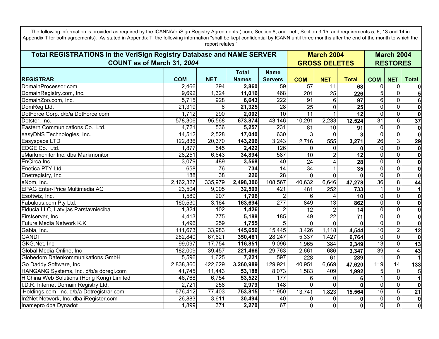| The following information is provided as required by the ICANN/VeriSign Registry Agreements (.com, Section 8; and .net, Section 3.15; and requirements 5, 6, 13 and 14 in<br>Appendix T for both agreements). As stated in Appendix T, the following information "shall be kept confidential by ICANN until three months after the end of the month to which the |            |            |              |                  |                   |                      |                 |                         |                     |                         |  |
|------------------------------------------------------------------------------------------------------------------------------------------------------------------------------------------------------------------------------------------------------------------------------------------------------------------------------------------------------------------|------------|------------|--------------|------------------|-------------------|----------------------|-----------------|-------------------------|---------------------|-------------------------|--|
| report relates."<br>Total REGISTRATIONS in the VeriSign Registry Database and NAME SERVER                                                                                                                                                                                                                                                                        |            |            |              |                  | <b>March 2004</b> | <b>March 2004</b>    |                 |                         |                     |                         |  |
| COUNT as of March 31, 2004                                                                                                                                                                                                                                                                                                                                       |            |            |              |                  |                   | <b>GROSS DELETES</b> |                 |                         | <b>RESTORES</b>     |                         |  |
|                                                                                                                                                                                                                                                                                                                                                                  |            |            | <b>Total</b> | <b>Name</b>      |                   |                      |                 |                         |                     |                         |  |
| <b>REGISTRAR</b>                                                                                                                                                                                                                                                                                                                                                 | <b>COM</b> | <b>NET</b> | <b>Names</b> | <b>Servers</b>   | <b>COM</b>        | <b>NET</b>           | <b>Total</b>    | <b>COM</b>              | <b>NET</b>          | <b>Total</b>            |  |
| DomainProcessor.com                                                                                                                                                                                                                                                                                                                                              | 2,466      | 394        | 2,860        | 59               | 57                | 11                   | 68              | 0                       | $\mathbf 0$         | 0                       |  |
| DomainRegistry.com, Inc.                                                                                                                                                                                                                                                                                                                                         | 9,692      | 1,324      | 11,016       | 468              | 201               | 25                   | 226             | 5                       | $\mathbf 0$         | 5 <sub>5</sub>          |  |
| DomainZoo.com, Inc.                                                                                                                                                                                                                                                                                                                                              | 5,715      | 928        | 6,643        | 222              | 91                | 6                    | 97              | $6\phantom{1}$          | $\overline{0}$      | 6                       |  |
| DomReg Ltd.                                                                                                                                                                                                                                                                                                                                                      | 21,319     | 6          | 21,325       | 28               | $\overline{25}$   | $\mathbf 0$          | $\overline{25}$ | 0                       | $\overline{0}$      | $\overline{\mathbf{0}}$ |  |
| DotForce Corp. d/b/a DotForce.com                                                                                                                                                                                                                                                                                                                                | 1,712      | 290        | 2,002        | 10               | $\overline{11}$   | $\mathbf{1}$         | $\overline{12}$ | $\overline{0}$          | $\overline{0}$      | $\mathbf{0}$            |  |
| Dotster, Inc.                                                                                                                                                                                                                                                                                                                                                    | 578,306    | 95,568     | 673,874      | 43,146           | 10,291            | 2,233                | 12,524          | 31                      | $\overline{6}$      | 37                      |  |
| Eastern Communications Co., Ltd.                                                                                                                                                                                                                                                                                                                                 | 4,721      | 536        | 5,257        | 231              | 81                | 10                   | 91              | $\mathbf 0$             | $\mathbf 0$         | $\pmb{0}$               |  |
| easyDNS Technologies, Inc.                                                                                                                                                                                                                                                                                                                                       | 14,512     | 2,528      | 17,040       | 630              | 3                 | $\mathbf{0}$         | 3               | $\overline{0}$          | $\mathbf 0$         | $\mathbf 0$             |  |
| Easyspace LTD                                                                                                                                                                                                                                                                                                                                                    | 122,836    | 20,370     | 143,206      | 3,243            | 2,716             | 555                  | 3,271           | 26                      | $\overline{\omega}$ | 29                      |  |
| EDGE Co., Ltd.                                                                                                                                                                                                                                                                                                                                                   | 1,877      | 545        | 2,422        | 126              | $\Omega$          | 0                    | $\mathbf 0$     | $\mathbf 0$             | $\overline{0}$      | $\overline{\mathbf{0}}$ |  |
| eMarkmonitor Inc. dba Markmonitor                                                                                                                                                                                                                                                                                                                                | 28,251     | 6,643      | 34,894       | 587              | $\overline{10}$   | $\overline{2}$       | 12              | $\overline{\mathsf{o}}$ | $\overline{0}$      | $\boldsymbol{0}$        |  |
| <b>EnCirca</b> Inc                                                                                                                                                                                                                                                                                                                                               | 3,079      | 489        | 3,568        | 40               | $\overline{24}$   | 4                    | 28              | $\overline{0}$          | $\mathbf 0$         | $\pmb{0}$               |  |
| Enetica PTY Ltd                                                                                                                                                                                                                                                                                                                                                  | 658        | 76         | 734          | $\overline{14}$  | $\overline{34}$   | $\mathbf{1}$         | 35              | $\overline{0}$          | $\overline{0}$      | $\overline{\mathbf{o}}$ |  |
| Enetregistry, Inc                                                                                                                                                                                                                                                                                                                                                | 188        | 38         | 226          | 28               | $\mathbf 0$       | $\mathbf 0$          | $\mathbf 0$     | $\overline{\mathsf{o}}$ | $\overline{0}$      | $\overline{\mathbf{0}}$ |  |
| eNom, Inc.                                                                                                                                                                                                                                                                                                                                                       | 2,162,327  | 335,979    | 2,498,306    | 108,567          | 40,632            | 6,646                | 47,278          | 36                      | $\overline{8}$      | 44                      |  |
| <b>EPAG Enter-Price Multimedia AG</b>                                                                                                                                                                                                                                                                                                                            | 23,504     | 9,005      | 32,509       | 421              | 481               | 252                  | 733             |                         | $\overline{0}$      | $\mathbf{1}$            |  |
| Esoftwiz, Inc.                                                                                                                                                                                                                                                                                                                                                   | 1,589      | 207        | 1,796        | $\overline{2}$   | 6                 | 4                    | 10              | $\overline{\mathsf{o}}$ | $\overline{0}$      | $\mathbf{0}$            |  |
| Fabulous.com Pty Ltd.                                                                                                                                                                                                                                                                                                                                            | 160,530    | 3,164      | 163,694      | $\overline{277}$ | 849               | 13                   | 862             | $\mathbf 0$             | $\mathbf 0$         | $\boldsymbol{0}$        |  |
| Fiducia LLC, Latvijas Parstavnieciba                                                                                                                                                                                                                                                                                                                             | 1,324      | 102        | 1,426        | 2                | 12                | $\overline{2}$       | 14              | $\mathbf 0$             | $\mathbf 0$         | $\mathbf{0}$            |  |
| Firstserver, Inc.                                                                                                                                                                                                                                                                                                                                                | 4,413      | 775        | 5,188        | 185              | 49                | $\overline{22}$      | 71              | $\mathbf 0$             | $\overline{0}$      | $\mathbf{0}$            |  |
| Future Media Network K.K.                                                                                                                                                                                                                                                                                                                                        | 1,496      | 259        | 1,755        | 5                | $\Omega$          | $\mathbf 0$          | $\mathbf 0$     | $\mathbf 0$             | $\overline{0}$      | $\mathbf 0$             |  |
| Gabia, Inc.                                                                                                                                                                                                                                                                                                                                                      | 111,673    | 33,983     | 145,656      | 15,445           | 3,426             | 1,118                | 4,544           | 10                      | $\overline{2}$      | $\overline{12}$         |  |
| <b>GANDI</b>                                                                                                                                                                                                                                                                                                                                                     | 282,840    | 67,621     | 350,461      | 28,247           | 5,337             | 1,427                | 6,764           | $\mathbf 0$             | $\overline{0}$      | $\pmb{0}$               |  |
| GKG.Net, Inc.                                                                                                                                                                                                                                                                                                                                                    | 99,097     | 17,754     | 116,851      | 9,096            | 1,965             | 384                  | 2,349           | 13                      | $\overline{0}$      | 13                      |  |
| Global Media Online, Inc.                                                                                                                                                                                                                                                                                                                                        | 182,009    | 39,457     | 221,466      | 29,763           | 2,661             | 686                  | 3,347           | 39                      | $\overline{4}$      | 43                      |  |
| Globedom Datenkommunikations GmbH                                                                                                                                                                                                                                                                                                                                | 5,596      | 1,625      | 7,221        | 597              | 228               | 61                   | 289             |                         | $\overline{0}$      |                         |  |
| Go Daddy Software, Inc.                                                                                                                                                                                                                                                                                                                                          | 2,838,360  | 422,629    | 3,260,989    | 129,921          | 40,951            | 6,669                | 47,620          | 119                     | 14                  | 133                     |  |
| HANGANG Systems, Inc. d/b/a doregi.com                                                                                                                                                                                                                                                                                                                           | 41,745     | 11,443     | 53,188       | 8,073            | 1,583             | 409                  | 1,992           | $\overline{5}$          | $\mathbf 0$         | 5                       |  |
| HiChina Web Solutions (Hong Kong) Limited                                                                                                                                                                                                                                                                                                                        | 46,768     | 6,754      | 53,522       | 177              | 6                 | 0                    | 6               |                         | $\mathbf 0$         | $\mathbf{1}$            |  |
| I.D.R. Internet Domain Registry Ltd.                                                                                                                                                                                                                                                                                                                             | 2,721      | 258        | 2,979        | 148              | 0                 | $\mathbf 0$          | $\mathbf{0}$    | $\mathbf{0}$            | $\mathbf 0$         | $\mathbf{0}$            |  |
| iHoldings.com, Inc. d/b/a Dotregistrar.com                                                                                                                                                                                                                                                                                                                       | 676,412    | 77,403     | 753,815      | 11,950           | 13,741            | 1,823                | 15,564          | 16                      | $\overline{5}$      | $\overline{21}$         |  |
| In2Net Network, Inc. dba iRegister.com                                                                                                                                                                                                                                                                                                                           | 26,883     | 3,611      | 30,494       | 40               | 0                 | 0                    | 0               | $\pmb{0}$               | $\overline{0}$      | $\pmb{0}$               |  |
| Inamepro dba Dynadot                                                                                                                                                                                                                                                                                                                                             | 1,899      | 371        | 2,270        | 67               | $\mathbf 0$       | $\mathbf 0$          | $\mathbf 0$     | $\overline{0}$          | $\mathbf 0$         | $\mathbf{0}$            |  |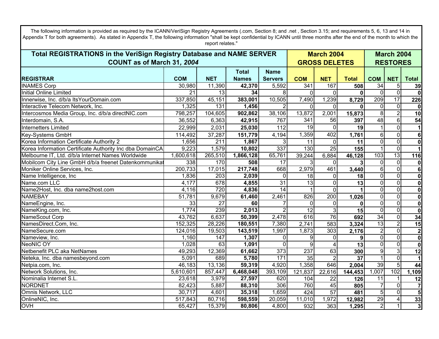| The following information is provided as required by the ICANN/VeriSign Registry Agreements (.com, Section 8; and .net, Section 3.15; and requirements 5, 6, 13 and 14 in<br>Appendix T for both agreements). As stated in Appendix T, the following information "shall be kept confidential by ICANN until three months after the end of the month to which the |                 | report relates." |              |                  |             |                      |              |                 |                 |                         |  |
|------------------------------------------------------------------------------------------------------------------------------------------------------------------------------------------------------------------------------------------------------------------------------------------------------------------------------------------------------------------|-----------------|------------------|--------------|------------------|-------------|----------------------|--------------|-----------------|-----------------|-------------------------|--|
| Total REGISTRATIONS in the VeriSign Registry Database and NAME SERVER                                                                                                                                                                                                                                                                                            |                 |                  |              |                  |             | <b>March 2004</b>    |              |                 |                 | <b>March 2004</b>       |  |
| COUNT as of March 31, 2004                                                                                                                                                                                                                                                                                                                                       |                 |                  |              |                  |             | <b>GROSS DELETES</b> |              | <b>RESTORES</b> |                 |                         |  |
|                                                                                                                                                                                                                                                                                                                                                                  |                 |                  | Total        | <b>Name</b>      |             |                      |              |                 |                 |                         |  |
| <b>REGISTRAR</b>                                                                                                                                                                                                                                                                                                                                                 | <b>COM</b>      | <b>NET</b>       | <b>Names</b> | <b>Servers</b>   | <b>COM</b>  | <b>NET</b>           | <b>Total</b> | <b>COM</b>      | <b>NET</b>      | <b>Total</b>            |  |
| <b>INAMES Corp</b>                                                                                                                                                                                                                                                                                                                                               | 30,980          | 11,390           | 42,370       | 5,592            | 341         | 167                  | 508          | $\overline{34}$ | $\sqrt{5}$      | 39                      |  |
| Initial Online Limited                                                                                                                                                                                                                                                                                                                                           | 21              | 13               | 34           | 8                | $\Omega$    | $\mathbf{0}$         | 0            | $\Omega$        | $\overline{0}$  | $\mathbf 0$             |  |
| Innerwise, Inc. d/b/a ItsYourDomain.com                                                                                                                                                                                                                                                                                                                          | 337,850         | 45,151           | 383,001      | 10,505           | 7,490       | 1,239                | 8,729        | 209             | $\overline{17}$ | 226                     |  |
| Interactive Telecom Network, Inc.                                                                                                                                                                                                                                                                                                                                | 1,325           | 131              | 1,456        | $\overline{2}$   | $\Omega$    | $\mathbf{0}$         |              | $\mathbf 0$     | $\overline{0}$  | $\mathbf 0$             |  |
| Intercosmos Media Group, Inc. d/b/a directNIC.com                                                                                                                                                                                                                                                                                                                | 798,257         | 104,605          | 902,862      | 38,106           | 13,872      | 2,001                | 15,873       | $\overline{8}$  | $\overline{2}$  | 10                      |  |
| Interdomain, S.A.                                                                                                                                                                                                                                                                                                                                                | 36,552          | 6,363            | 42,915       | 767              | 341         | 56                   | 397          | 48              | 6 <sup>1</sup>  | 54                      |  |
| Internetters Limited                                                                                                                                                                                                                                                                                                                                             | 22,999          | 2,031            | 25,030       | 112              | 19          | $\mathbf 0$          | 19           |                 | $\overline{0}$  | $\mathbf 1$             |  |
| Key-Systems GmbH                                                                                                                                                                                                                                                                                                                                                 | 114,492         | 37,287           | 151,779      | 4,194            | 1,359       | 402                  | 1,761        | 6               | $\overline{0}$  | $6\phantom{1}$          |  |
| Korea Information Certificate Authority 2                                                                                                                                                                                                                                                                                                                        | 1,656           | $\overline{211}$ | 1,867        | 3                | 11          | 0                    | 11           | $\mathbf 0$     | $\overline{0}$  | $\mathbf 0$             |  |
| Korea Information Certificate Authority Inc dba DomainCA                                                                                                                                                                                                                                                                                                         | 9,223           | 1,579            | 10,802       | 337              | 130         | $\overline{25}$      | 155          |                 | ō               | $\overline{1}$          |  |
| Melbourne IT, Ltd. d/b/a Internet Names Worldwide                                                                                                                                                                                                                                                                                                                | 1,600,618       | 265,510          | 1,866,128    | 65,761           | 39,244      | 6,884                | 46,128       | 103             | 13              | 116                     |  |
| Mobilcom City Line GmbH d/b/a freenet Datenkommunika                                                                                                                                                                                                                                                                                                             | 338             | 170              | 508          | $\overline{17}$  | 3           | $\mathbf 0$          | 3            | $\Omega$        | $\Omega$        | $\mathbf 0$             |  |
| Moniker Online Services, Inc.                                                                                                                                                                                                                                                                                                                                    | 200,733         | 17,015           | 217,748      | 668              | 2,979       | 461                  | 3,440        | 6               | $\overline{0}$  | 6                       |  |
| Name Intelligence, Inc                                                                                                                                                                                                                                                                                                                                           | 1,836           | 203              | 2,039        | $\mathbf 0$      | 18          | $\mathbf{0}$         | 18           | $\mathbf{0}$    | $\Omega$        | 0                       |  |
| Name.com LLC                                                                                                                                                                                                                                                                                                                                                     | 4,177           | 678              | 4,855        | $\overline{31}$  | 13          | $\mathbf 0$          | 13           | $\mathbf 0$     | $\overline{0}$  | 0                       |  |
| Name2Host, Inc. dba name2host.com                                                                                                                                                                                                                                                                                                                                | 4,116           | 720              | 4,836        | $\overline{14}$  |             | $\mathbf{0}$         |              | $\mathbf 0$     | $\overline{0}$  | $\overline{\mathbf{0}}$ |  |
| <b>NAMEBAY</b>                                                                                                                                                                                                                                                                                                                                                   | 51,781          | 9,679            | 61,460       | 2,461            | 826         | 200                  | 1,026        | $\overline{0}$  | $\overline{0}$  | 0                       |  |
| NameEngine, Inc.                                                                                                                                                                                                                                                                                                                                                 | $\overline{33}$ | $\overline{27}$  | 60           | $\overline{7}$   | $\mathbf 0$ | $\mathbf 0$          | $\bf{0}$     | $\overline{0}$  | $\overline{0}$  | 0                       |  |
| NameKing.com, Inc.                                                                                                                                                                                                                                                                                                                                               | 1,774           | 239              | 2,013        | $\overline{2}$   | 12          | $\mathbf{3}$         | 15           | $\mathbf 0$     | $\overline{0}$  | 0                       |  |
| NameScout Corp                                                                                                                                                                                                                                                                                                                                                   | 43,762          | 6,637            | 50,399       | 2,478            | 616         | 76                   | 692          | 34              | $\overline{0}$  | 34                      |  |
| NamesDirect.Com, Inc.                                                                                                                                                                                                                                                                                                                                            | 152,325         | 28,226           | 180,551      | 7,380            | 2,741       | 583                  | 3,324        | 13              | $\overline{2}$  | 15                      |  |
| NameSecure.com                                                                                                                                                                                                                                                                                                                                                   | 124,016         | 19,503           | 143,519      | 1,997            | 1,873       | 303                  | 2,176        | $\overline{2}$  | $\overline{0}$  | $\overline{\mathbf{2}}$ |  |
| Nameview, Inc.                                                                                                                                                                                                                                                                                                                                                   | 1,160           | 147              | 1,307        | 0                | 9           | $\mathbf 0$          | 9            | $\Omega$        | $\Omega$        | 0                       |  |
| <b>NeoNIC OY</b>                                                                                                                                                                                                                                                                                                                                                 | 1,028           | 63               | 1,091        | $\Omega$         | 9           | $\overline{4}$       | 13           | $\Omega$        | $\overline{0}$  | 0                       |  |
| Netbenefit PLC aka NetNames                                                                                                                                                                                                                                                                                                                                      | 49,293          | 12,369           | 61,662       | $\overline{373}$ | 237         | 63                   | 300          | 9               | $\overline{3}$  | 12                      |  |
| Neteka, Inc. dba namesbeyond.com                                                                                                                                                                                                                                                                                                                                 | 5,091           | 689              | 5,780        | 171              | 35          | $\overline{2}$       | 37           |                 | $\overline{0}$  | $\mathbf{1}$            |  |
| Netpia.com, Inc.                                                                                                                                                                                                                                                                                                                                                 | 46,183          | 13,136           | 59,319       | 4,920            | 1,358       | 646                  | 2,004        | 39              | $\overline{5}$  | 44                      |  |
| Network Solutions, Inc.                                                                                                                                                                                                                                                                                                                                          | 5,610,601       | 857,447          | 6,468,048    | 393,109          | 121,837     | 22,616               | 144,453      | 1,007           | 102             | 1,109                   |  |
| Nominalia Internet S.L.                                                                                                                                                                                                                                                                                                                                          | 23,618          | 3,979            | 27,597       | 620              | 104         | 22                   | 126          | 11              | 1               | 12                      |  |
| <b>NORDNET</b>                                                                                                                                                                                                                                                                                                                                                   | 82,423          | 5,887            | 88,310       | 306              | 760         | 45                   | 805          | $\overline{7}$  | $\overline{0}$  | $\overline{7}$          |  |
| Omnis Network, LLC                                                                                                                                                                                                                                                                                                                                               | 30,717          | 4,601            | 35,318       | 1,659            | 424         | 57                   | 481          | 5               | $\overline{0}$  | $5\phantom{1}$          |  |
| OnlineNIC, Inc.                                                                                                                                                                                                                                                                                                                                                  | 517,843         | 80,716           | 598,559      | 20,059           | 11,010      | 1,972                | 12,982       | 29              | 4               | 33                      |  |
| <b>OVH</b>                                                                                                                                                                                                                                                                                                                                                       | 65,427          | 15,379           | 80,806       | 4,800            | 932         | 363                  | 1,295        | $\overline{2}$  |                 | $\overline{\mathbf{3}}$ |  |

 $\Gamma$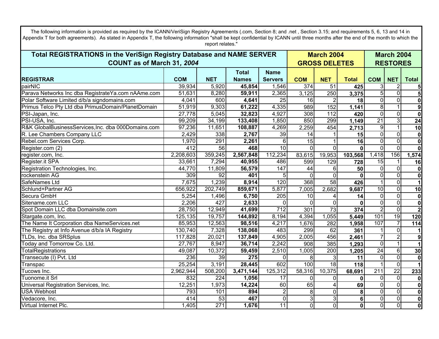| The following information is provided as required by the ICANN/VeriSign Registry Agreements (.com, Section 8; and .net, Section 3.15; and requirements 5, 6, 13 and 14 in<br>Appendix T for both agreements). As stated in Appendix T, the following information "shall be kept confidential by ICANN until three months after the end of the month to which the<br>report relates." |                  |                  |              |                  |                         |                      |                |                  |                         |                         |  |
|--------------------------------------------------------------------------------------------------------------------------------------------------------------------------------------------------------------------------------------------------------------------------------------------------------------------------------------------------------------------------------------|------------------|------------------|--------------|------------------|-------------------------|----------------------|----------------|------------------|-------------------------|-------------------------|--|
| Total REGISTRATIONS in the VeriSign Registry Database and NAME SERVER                                                                                                                                                                                                                                                                                                                |                  |                  |              |                  |                         | <b>March 2004</b>    |                |                  |                         | <b>March 2004</b>       |  |
| COUNT as of March 31, 2004                                                                                                                                                                                                                                                                                                                                                           |                  |                  |              |                  |                         | <b>GROSS DELETES</b> |                |                  |                         | <b>RESTORES</b>         |  |
|                                                                                                                                                                                                                                                                                                                                                                                      |                  |                  | <b>Total</b> | <b>Name</b>      |                         |                      |                |                  |                         |                         |  |
| <b>REGISTRAR</b>                                                                                                                                                                                                                                                                                                                                                                     | <b>COM</b>       | <b>NET</b>       | <b>Names</b> | <b>Servers</b>   | <b>COM</b>              | <b>NET</b>           | <b>Total</b>   | <b>COM</b>       | <b>NET</b>              | <b>Total</b>            |  |
| pairNIC                                                                                                                                                                                                                                                                                                                                                                              | 39,934           | 5,920            | 45,854       | 1,546            | 374                     | 51                   | 425            | 3                | $\overline{2}$          |                         |  |
| Parava Networks Inc dba RegistrateYa.com nAAme.com                                                                                                                                                                                                                                                                                                                                   | 51,631           | 8,280            | 59,911       | 2,365            | 3,125                   | 250                  | 3,375          | $\overline{5}$   | $\overline{\mathsf{o}}$ | $\overline{\mathbf{5}}$ |  |
| Polar Software Limited d/b/a signdomains.com                                                                                                                                                                                                                                                                                                                                         | 4,041            | 600              | 4,641        | 25               | 16                      | 2                    | 18             | $\overline{0}$   | $\overline{0}$          | $\mathbf 0$             |  |
| Primus Telco Pty Ltd dba PrimusDomain/PlanetDomain                                                                                                                                                                                                                                                                                                                                   | 51,919           | 9,303            | 61,222       | 4,335            | 989                     | 152                  | 1,141          | 8                | $\mathbf{1}$            | $\overline{9}$          |  |
| PSI-Japan, Inc.                                                                                                                                                                                                                                                                                                                                                                      | 27,778           | 5,045            | 32,823       | 4,927            | 308                     | $\overline{112}$     | 420            | $\overline{0}$   | $\overline{0}$          | $\overline{\mathbf{0}}$ |  |
| PSI-USA, Inc.                                                                                                                                                                                                                                                                                                                                                                        | 99,209           | 34,199           | 133,408      | 1,850            | 850                     | 299                  | 1,149          | $\overline{21}$  | $\overline{3}$          | 24                      |  |
| R&K GlobalBusinessServices, Inc. dba 000Domains.com                                                                                                                                                                                                                                                                                                                                  | 97,236           | 11,651           | 108,887      | 4,269            | 2,259                   | 454                  | 2,713          | 9                | $\mathbf{1}$            | $\overline{10}$         |  |
| R. Lee Chambers Company LLC                                                                                                                                                                                                                                                                                                                                                          | 2,429            | 338              | 2,767        | 39               | 14                      |                      | 15             | 0                | $\overline{0}$          | $\bf{0}$                |  |
| Rebel.com Services Corp.                                                                                                                                                                                                                                                                                                                                                             | 1,970            | 291              | 2,261        | 6                | 15                      |                      | 16             | $\overline{0}$   | $\overline{0}$          | $\mathbf 0$             |  |
| Register.com (2)                                                                                                                                                                                                                                                                                                                                                                     | $\overline{412}$ | $\overline{56}$  | 468          | 10               | $\overline{\mathsf{o}}$ | $\Omega$             | $\mathbf{0}$   | 0                | $\overline{0}$          | $\overline{\mathbf{0}}$ |  |
| register.com, Inc.                                                                                                                                                                                                                                                                                                                                                                   | 2,208,603        | 359,245          | 2,567,848    | 112,234          | 83,615                  | 19,953               | 103,568        | 1,418            | 156                     | 1,574                   |  |
| Register.it SPA                                                                                                                                                                                                                                                                                                                                                                      | 33,661           | 7,294            | 40,955       | 486              | 599                     | 129                  | 728            | 15               | $\mathbf{1}$            | 16                      |  |
| Registration Technologies, Inc.                                                                                                                                                                                                                                                                                                                                                      | 44,770           | 11,809           | 56,579       | 147              | 44                      | 61                   | 50             | 0                | $\overline{0}$          | $\mathbf 0$             |  |
| rockenstein AG                                                                                                                                                                                                                                                                                                                                                                       | 309              | 92               | 401          | 5                | 0                       | $\overline{0}$       | $\mathbf{0}$   | $\overline{0}$   | $\overline{0}$          | $\mathbf 0$             |  |
| SafeNames Ltd                                                                                                                                                                                                                                                                                                                                                                        | 7,675            | 1,239            | 8,914        | 120              | 368                     | 58                   | 426            |                  | $\overline{0}$          | 1                       |  |
| Schlund+Partner AG                                                                                                                                                                                                                                                                                                                                                                   | 656,922          | 202,749          | 859,671      | 5,877            | 7,005                   | 2,682                | 9,687          | 10               | $\overline{0}$          | 10                      |  |
| Secura GmbH                                                                                                                                                                                                                                                                                                                                                                          | 5,254            | 1,496            | 6,750        | 205              | 10                      | 4                    | 14             | $\overline{0}$   | $\overline{0}$          | $\pmb{0}$               |  |
| Sitename.com LLC                                                                                                                                                                                                                                                                                                                                                                     | 2,206            | 427              | 2,633        | 0                | $\Omega$                | $\Omega$             | $\Omega$       | $\overline{0}$   | $\overline{0}$          | $\bf{0}$                |  |
| Spot Domain LLC dba Domainsite.com                                                                                                                                                                                                                                                                                                                                                   | 28,750           | 12,949           | 41,699       | $\overline{712}$ | 301                     | 73                   | 374            | $\overline{2}$   | $\overline{\mathsf{o}}$ | $\overline{2}$          |  |
| Stargate.com, Inc.                                                                                                                                                                                                                                                                                                                                                                   | 125,135          | 19,757           | 144,892      | 8,194            | 4,394                   | 1,055                | 5,449          | 101              | 19                      | 120                     |  |
| The Name It Corporation dba NameServices.net                                                                                                                                                                                                                                                                                                                                         | 85,953           | 12,563           | 98,516       | 4,217            | 1,676                   | 282                  | 1,958          | 107              | $\overline{7}$          | 114                     |  |
| The Registry at Info Avenue d/b/a IA Registry                                                                                                                                                                                                                                                                                                                                        | 130,740          | 7,328            | 138,068      | 483              | 299                     | 62                   | 361            |                  | $\overline{0}$          |                         |  |
| TLDs, Inc. dba SRSplus                                                                                                                                                                                                                                                                                                                                                               | 117,828          | 20,021           | 137,849      | 4,905            | 2,005                   | 456                  | 2,461          | $\overline{7}$   | $\overline{2}$          | $\boldsymbol{9}$        |  |
| Today and Tomorrow Co. Ltd.                                                                                                                                                                                                                                                                                                                                                          | 27,767           | 8,947            | 36,714       | 2,242            | 908                     | 385                  | 1,293          | 0                | $\mathbf{1}$            | 1                       |  |
| <b>TotalRegistrations</b>                                                                                                                                                                                                                                                                                                                                                            | 49,087           | 10,372           | 59,459       | 2,510            | 1,005                   | 200                  | 1,205          | $\overline{24}$  | $\overline{6}$          | 30                      |  |
| Transecute (I) Pvt. Ltd                                                                                                                                                                                                                                                                                                                                                              | 236              | 39               | 275          | $\Omega$         | 8                       | 3                    | 11             | $\mathbf 0$      | $\overline{0}$          | $\mathbf 0$             |  |
| Transpac                                                                                                                                                                                                                                                                                                                                                                             | 25,254           | 3,191            | 28,445       | 602              | 100                     | $\overline{18}$      | 118            |                  | $\overline{0}$          |                         |  |
| Tucows Inc.                                                                                                                                                                                                                                                                                                                                                                          | 2,962,944        | 508,200          | 3,471,144    | 125,312          | 58,316                  | 10,375               | 68,691         | $\overline{211}$ | $\overline{22}$         | 233                     |  |
| Tuonome.it Srl                                                                                                                                                                                                                                                                                                                                                                       | 832              | 224              | 1,056        | $\overline{17}$  | $\Omega$                | $\Omega$             | $\mathbf{0}$   | 0                | $\overline{0}$          | $\mathbf 0$             |  |
| Universal Registration Services, Inc.                                                                                                                                                                                                                                                                                                                                                | 12,251           | 1,973            | 14,224       | 60               | 65                      | 4                    | 69             | 0                | $\overline{0}$          | $\mathbf 0$             |  |
| <b>USA Webhost</b>                                                                                                                                                                                                                                                                                                                                                                   | 793              | 101              | 894          | 2                | 8                       | $\overline{0}$       | 8              | 0                | $\overline{0}$          | $\bf{0}$                |  |
| Vedacore, Inc.                                                                                                                                                                                                                                                                                                                                                                       | 414              | 53               | 467          | 0                | دن                      | $\overline{3}$       | $6\phantom{a}$ | 0                | $\overline{0}$          | $\overline{\mathbf{0}}$ |  |
| Virtual Internet Plc.                                                                                                                                                                                                                                                                                                                                                                | 1,405            | $\overline{271}$ | 1,676        | $\overline{11}$  | $\overline{0}$          | $\overline{0}$       | $\mathbf 0$    | $\overline{0}$   | $\overline{0}$          | $\overline{\mathbf{0}}$ |  |

ı